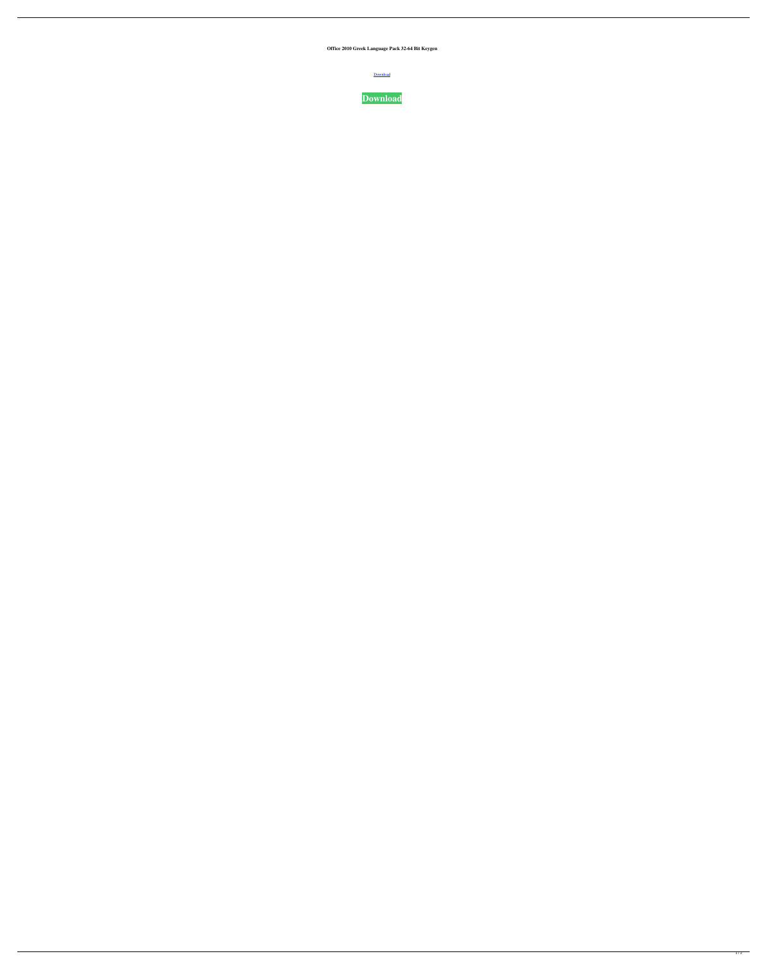## **Office 2010 Greek Language Pack 32-64 Bit Keygen**

| Download |  |
|----------|--|
|          |  |

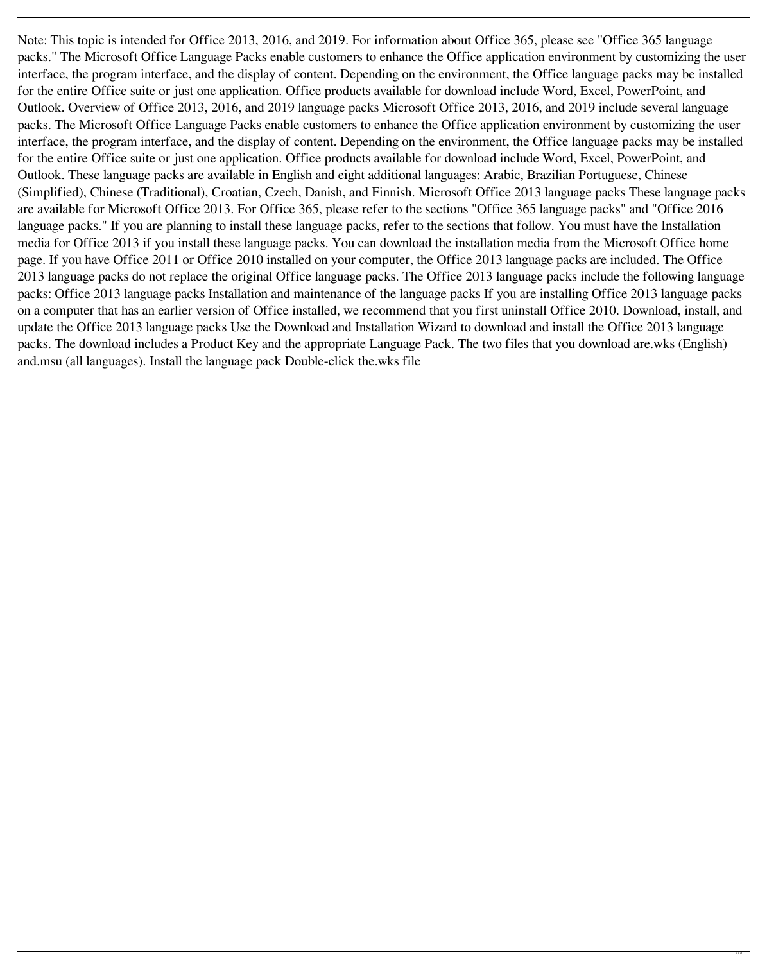Note: This topic is intended for Office 2013, 2016, and 2019. For information about Office 365, please see "Office 365 language packs." The Microsoft Office Language Packs enable customers to enhance the Office application environment by customizing the user interface, the program interface, and the display of content. Depending on the environment, the Office language packs may be installed for the entire Office suite or just one application. Office products available for download include Word, Excel, PowerPoint, and Outlook. Overview of Office 2013, 2016, and 2019 language packs Microsoft Office 2013, 2016, and 2019 include several language packs. The Microsoft Office Language Packs enable customers to enhance the Office application environment by customizing the user interface, the program interface, and the display of content. Depending on the environment, the Office language packs may be installed for the entire Office suite or just one application. Office products available for download include Word, Excel, PowerPoint, and Outlook. These language packs are available in English and eight additional languages: Arabic, Brazilian Portuguese, Chinese (Simplified), Chinese (Traditional), Croatian, Czech, Danish, and Finnish. Microsoft Office 2013 language packs These language packs are available for Microsoft Office 2013. For Office 365, please refer to the sections "Office 365 language packs" and "Office 2016 language packs." If you are planning to install these language packs, refer to the sections that follow. You must have the Installation media for Office 2013 if you install these language packs. You can download the installation media from the Microsoft Office home page. If you have Office 2011 or Office 2010 installed on your computer, the Office 2013 language packs are included. The Office 2013 language packs do not replace the original Office language packs. The Office 2013 language packs include the following language packs: Office 2013 language packs Installation and maintenance of the language packs If you are installing Office 2013 language packs on a computer that has an earlier version of Office installed, we recommend that you first uninstall Office 2010. Download, install, and update the Office 2013 language packs Use the Download and Installation Wizard to download and install the Office 2013 language packs. The download includes a Product Key and the appropriate Language Pack. The two files that you download are.wks (English) and.msu (all languages). Install the language pack Double-click the.wks file